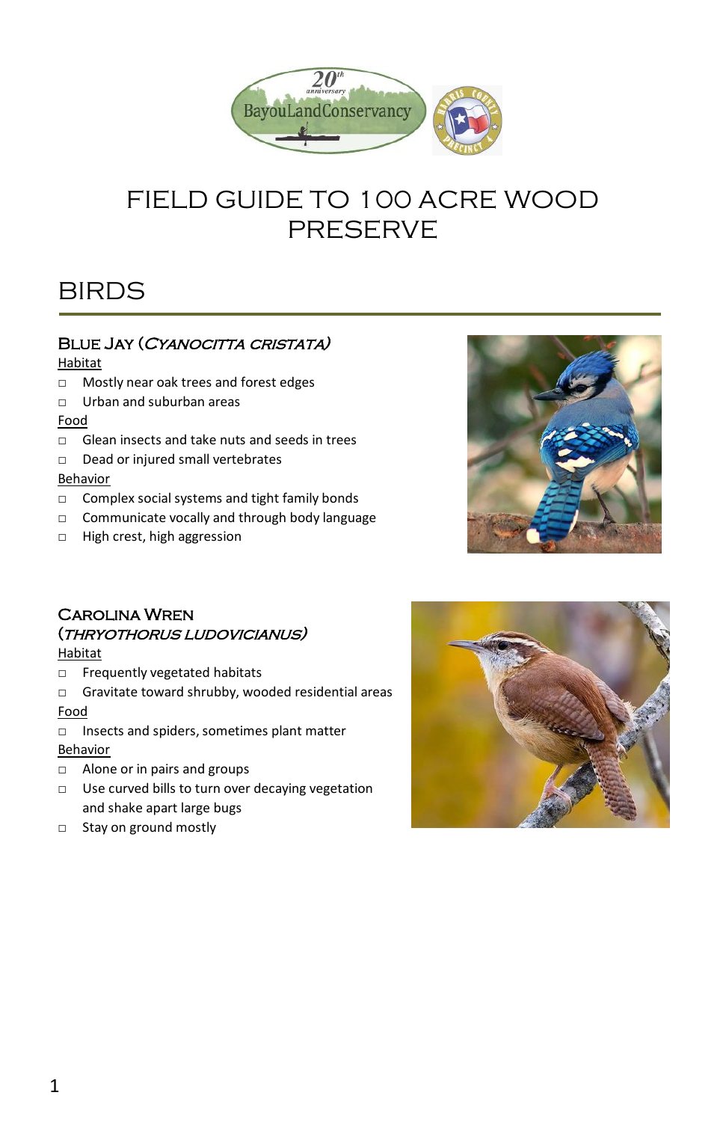

# FIELD GUIDE TO 100 ACRE WOOD **PRESERVE**

# **BIRDS**

# BLUE JAY (CYANOCITTA CRISTATA)

#### Habitat

- □ Mostly near oak trees and forest edges
- □ Urban and suburban areas

#### Food

- $\neg$  Glean insects and take nuts and seeds in trees
- □ Dead or injured small vertebrates

# Behavior

- □ Complex social systems and tight family bonds
- □ Communicate vocally and through body language
- □ High crest, high aggression



# Carolina Wren (thryothorus ludovicianus)

# **Habitat**

- □ Frequently vegetated habitats
- □ Gravitate toward shrubby, wooded residential areas Food

- □ Insects and spiders, sometimes plant matter Behavior
- □ Alone or in pairs and groups
- □ Use curved bills to turn over decaying vegetation and shake apart large bugs
- □ Stay on ground mostly

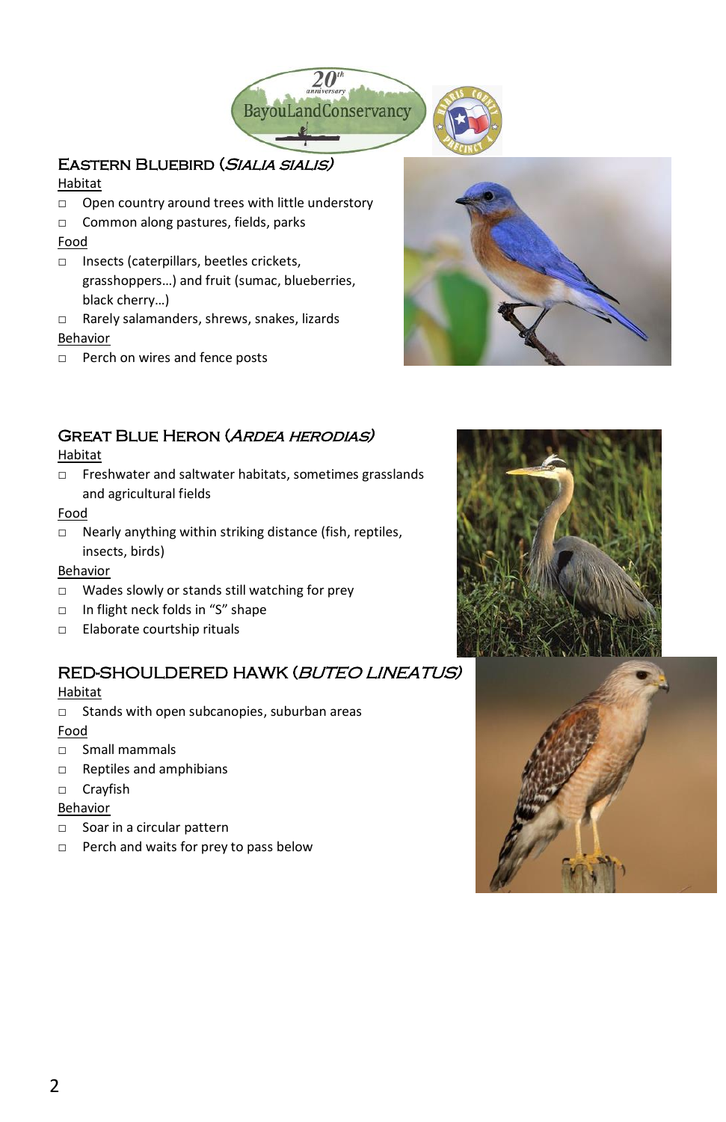

# Eastern Bluebird (Sialia sialis)

#### Habitat

- □ Open country around trees with little understory
- □ Common along pastures, fields, parks

#### Food

- □ Insects (caterpillars, beetles crickets, grasshoppers…) and fruit (sumac, blueberries, black cherry…)
- □ Rarely salamanders, shrews, snakes, lizards Behavior
- □ Perch on wires and fence posts



# Great Blue Heron (Ardea herodias)

#### Habitat

□ Freshwater and saltwater habitats, sometimes grasslands and agricultural fields

#### Food

□ Nearly anything within striking distance (fish, reptiles, insects, birds)

#### Behavior

- □ Wades slowly or stands still watching for prey
- □ In flight neck folds in "S" shape
- □ Elaborate courtship rituals

# RED-SHOULDERED HAWK (BUTEO LINEATUS)

#### Habitat

□ Stands with open subcanopies, suburban areas

# Food

- □ Small mammals
- □ Reptiles and amphibians
- □ Crayfish

#### Behavior

- □ Soar in a circular pattern
- □ Perch and waits for prey to pass below



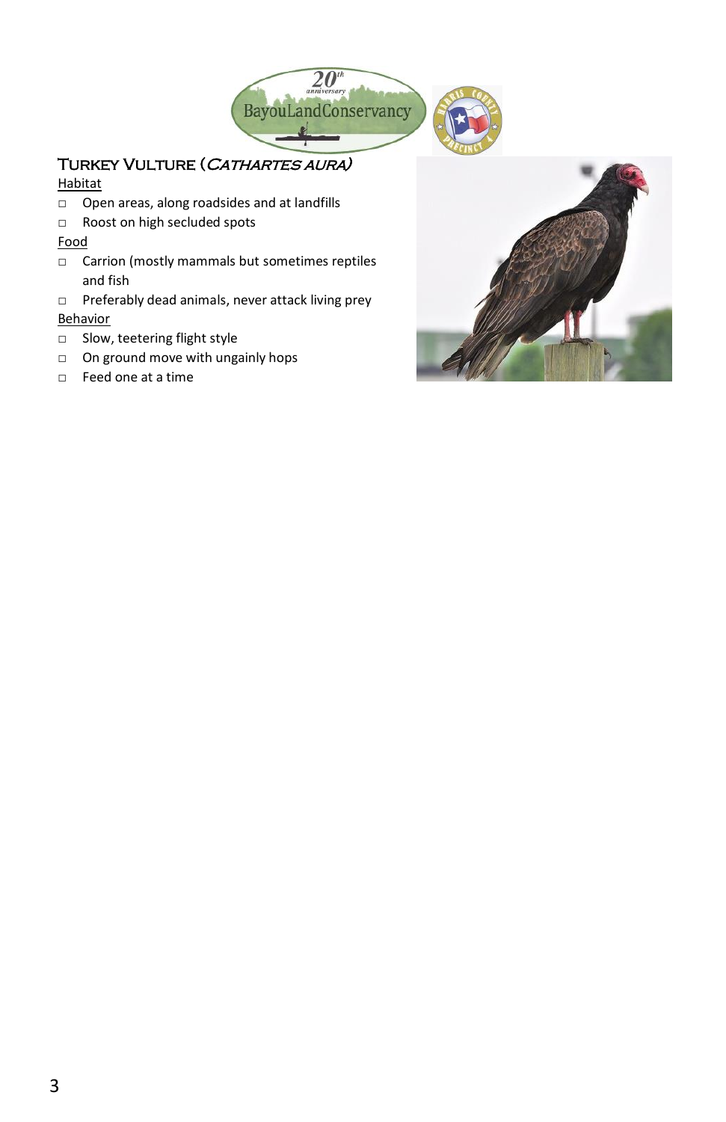

# TURKEY VULTURE (CATHARTES AURA)

# Habitat

- □ Open areas, along roadsides and at landfills
- □ Roost on high secluded spots

# Food

- □ Carrion (mostly mammals but sometimes reptiles and fish
- □ Preferably dead animals, never attack living prey Behavior
- □ Slow, teetering flight style
- □ On ground move with ungainly hops
- □ Feed one at a time

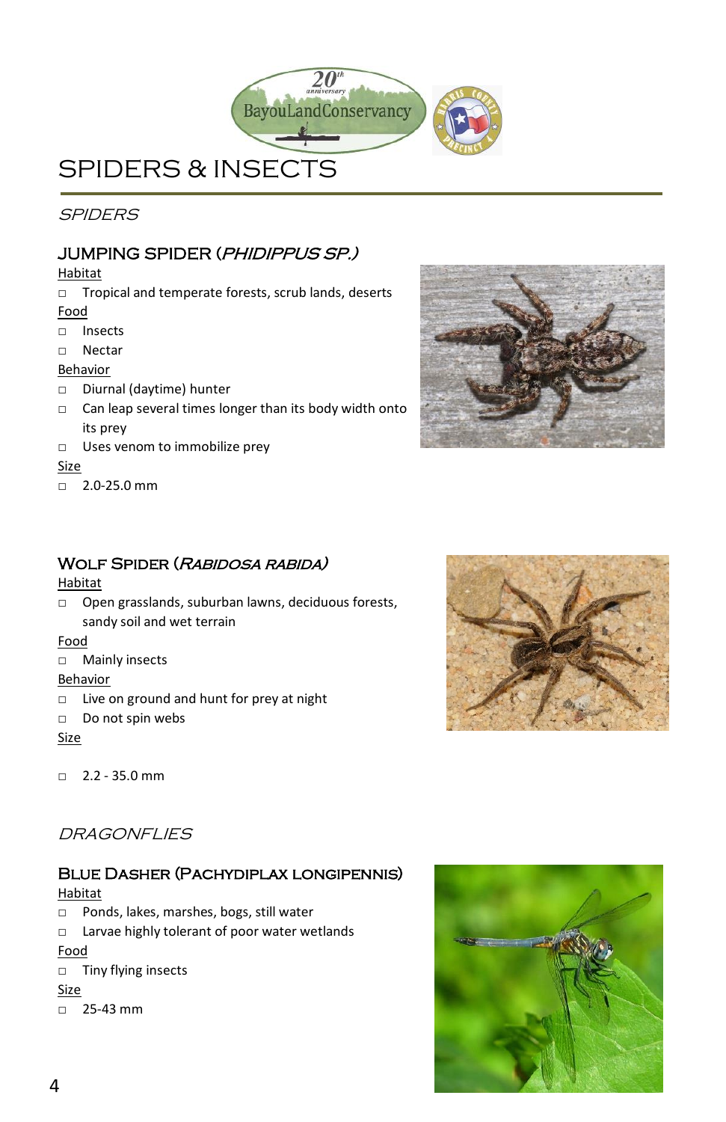

# SPIDERS & INSECTS j

**SPIDERS** 

# JUMPING SPIDER (PHIDIPPUS SP.)

Habitat

- □ Tropical and temperate forests, scrub lands, deserts Food
- □ Insects
- □ Nectar
- Behavior
- □ Diurnal (daytime) hunter
- □ Can leap several times longer than its body width onto its prey
- □ Uses venom to immobilize prey

#### Size

 $-2.0 - 25.0$  mm



# WOLF SPIDER (RABIDOSA RABIDA)

# Habitat

□ Open grasslands, suburban lawns, deciduous forests, sandy soil and wet terrain

# Food

□ Mainly insects

# **Behavior**

- □ Live on ground and hunt for prey at night
- □ Do not spin webs

# Size

 $\Box$  2.2 - 35.0 mm



# DRAGONELIES

# Blue Dasher (Pachydiplax longipennis)

# Habitat

- □ Ponds, lakes, marshes, bogs, still water
- □ Larvae highly tolerant of poor water wetlands Food
- □ Tiny flying insects

# Size

 $\Box$  25-43 mm

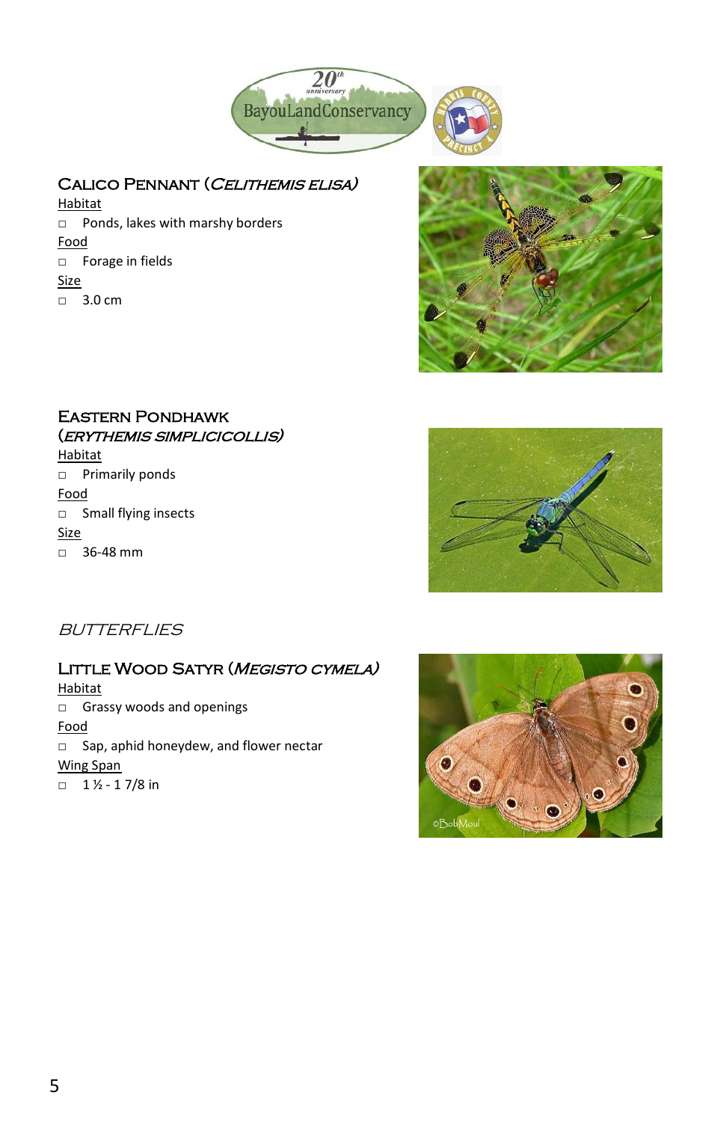

# CALICO PENNANT (CELITHEMIS ELISA)

Habitat □ Ponds, lakes with marshy borders Food □ Forage in fields Size □ 3.0 cm



# Eastern Pondhawk (erythemis simplicicollis)

Habitat □ Primarily ponds Food □ Small flying insects Size □ 36-48 mm



**BUTTERFLIES** 

# LITTLE WOOD SATYR (MEGISTO CYMELA)

Habitat □ Grassy woods and openings Food □ Sap, aphid honeydew, and flower nectar Wing Span  $\Box$  1  $\frac{1}{2}$  - 1 7/8 in

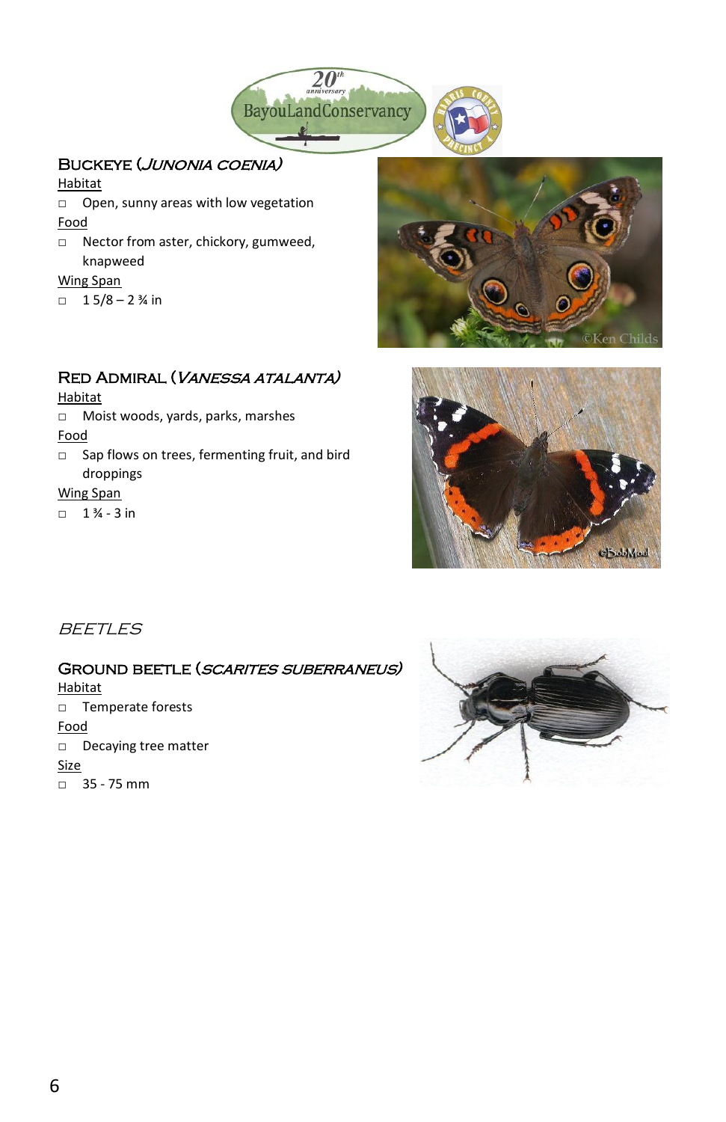

# Buckeye (Junonia coenia)

Habitat

- □ Open, sunny areas with low vegetation Food
- □ Nector from aster, chickory, gumweed, knapweed

#### Wing Span

 $\Box$  1 5/8 – 2 % in

# Red Admiral (Vanessa atalanta)

Habitat

□ Moist woods, yards, parks, marshes

Food

□ Sap flows on trees, fermenting fruit, and bird droppings

Wing Span

 $\Box$  1 % - 3 in





**BEETLES** 

# GROUND BEETLE (SCARITES SUBERRANEUS)

**Habitat** □ Temperate forests Food □ Decaying tree matter Size □ 35 - 75 mm

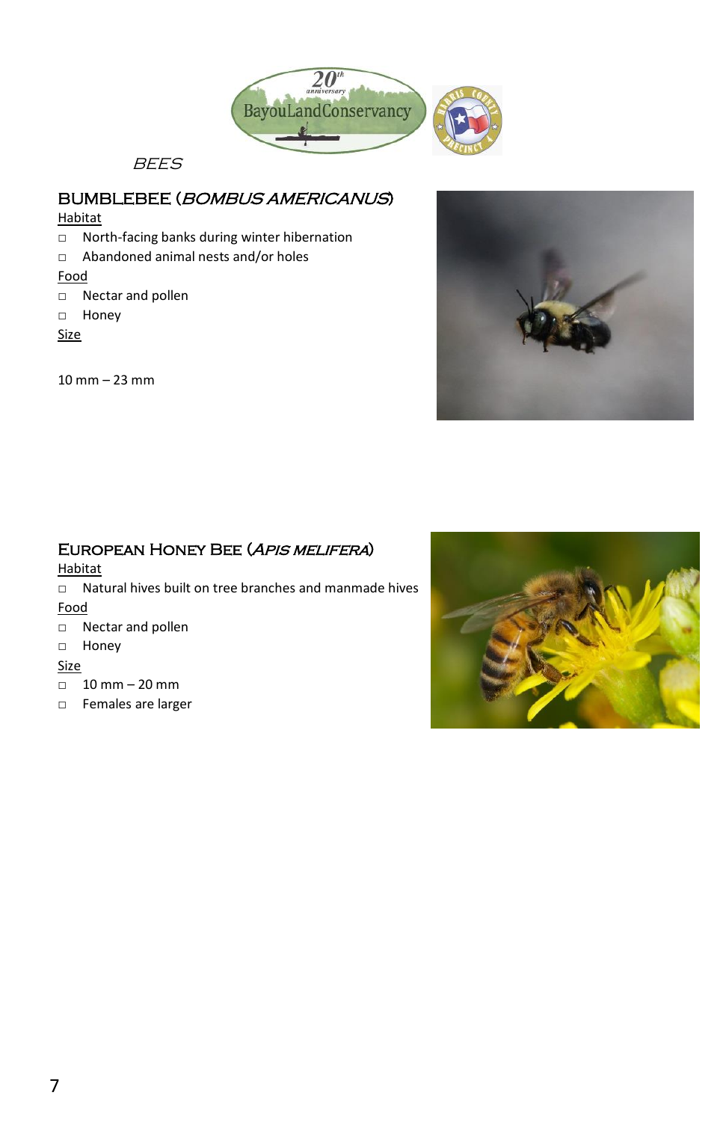

**BEES** 

# BUMBLEBEE (BOMBUS AMERICANUS)

### Habitat

- □ North-facing banks during winter hibernation
- □ Abandoned animal nests and/or holes

#### Food

- □ Nectar and pollen
- □ Honey
- Size

10 mm – 23 mm



# European Honey Bee (Apis melifera)

#### Habitat

- □ Natural hives built on tree branches and manmade hives Food
- □ Nectar and pollen

#### □ Honey

#### Size

- □ 10 mm 20 mm
- □ Females are larger

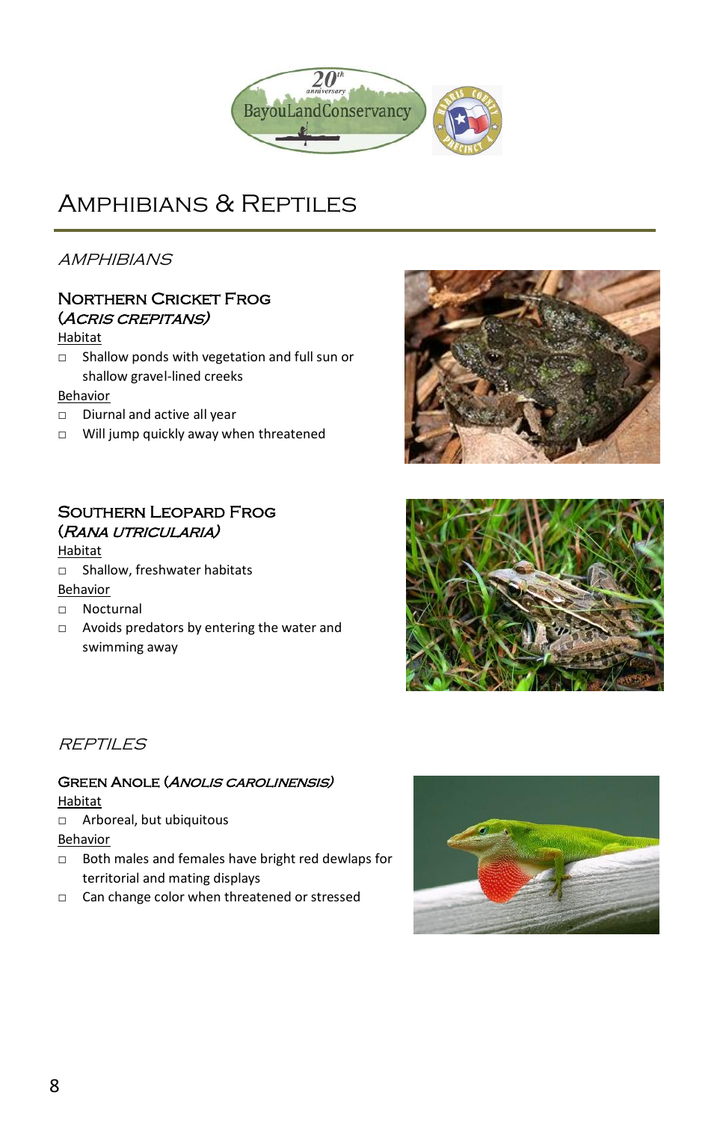

# AMPHIBIANS & REPTILES

**AMPHIBIANS** 

# Northern Cricket Frog (Acris crepitans)

### Habitat

□ Shallow ponds with vegetation and full sun or shallow gravel-lined creeks

#### Behavior

- □ Diurnal and active all year
- □ Will jump quickly away when threatened

# Southern Leopard Frog (Rana utricularia)

# Habitat

□ Shallow, freshwater habitats

#### Behavior

- □ Nocturnal
- □ Avoids predators by entering the water and swimming away





# **REPTILES**

# Green Anole (Anolis carolinensis)

#### Habitat

□ Arboreal, but ubiquitous

Behavior

- □ Both males and females have bright red dewlaps for territorial and mating displays
- □ Can change color when threatened or stressed

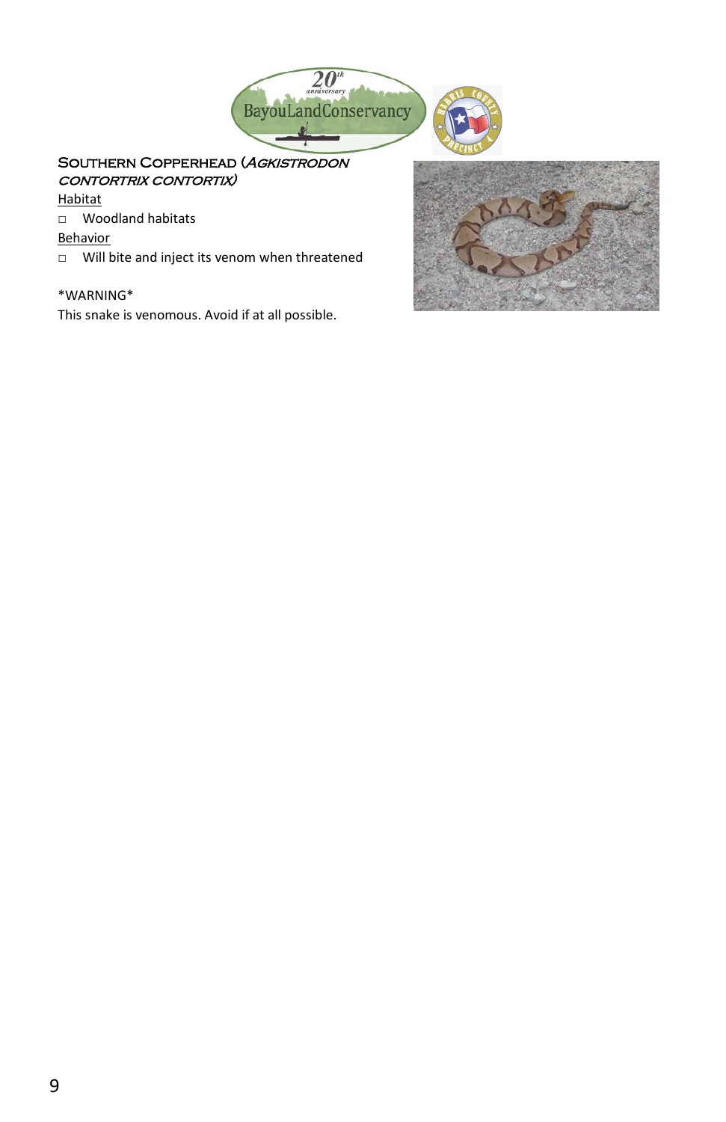

# SOUTHERN COPPERHEAD (AGKISTRODON contortrix contortix)

Habitat

□ Woodland habitats

Behavior

□ Will bite and inject its venom when threatened

#### \*WARNING\*

This snake is venomous. Avoid if at all possible.

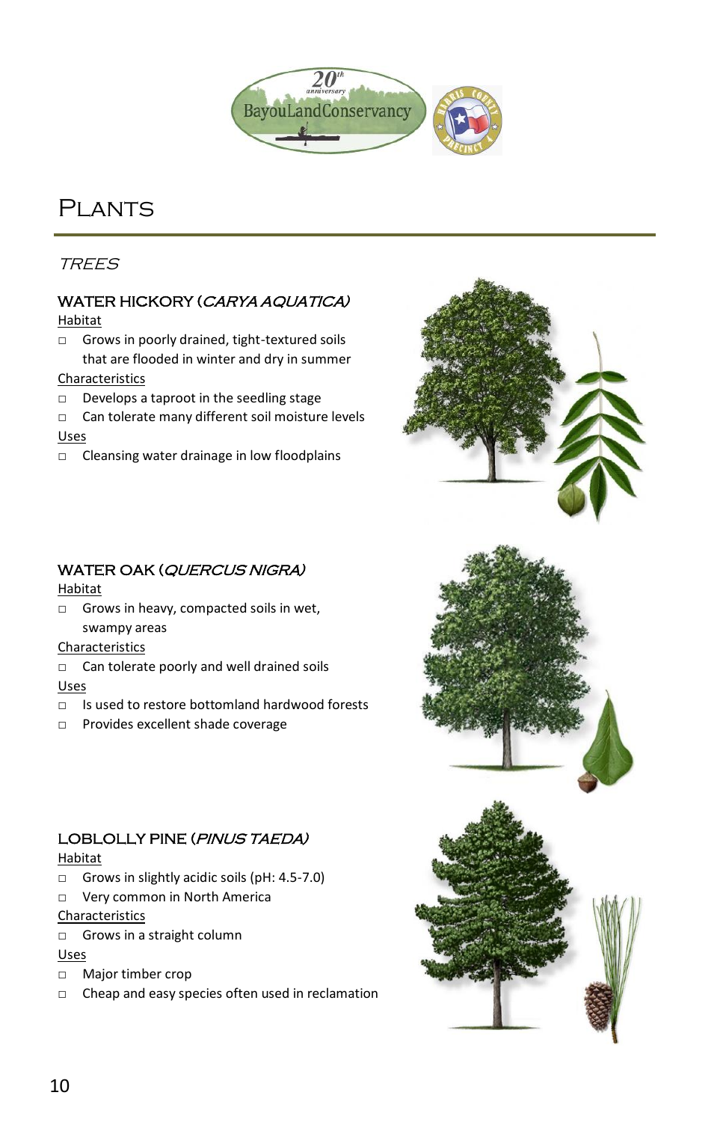

# PI ANTS

# TREES

# WATER HICKORY (CARYA AQUATICA)

Habitat

□ Grows in poorly drained, tight-textured soils that are flooded in winter and dry in summer

#### Characteristics

- □ Develops a taproot in the seedling stage
- □ Can tolerate many different soil moisture levels Uses
- □ Cleansing water drainage in low floodplains

# WATER OAK (QUERCUS NIGRA)

Habitat

□ Grows in heavy, compacted soils in wet, swampy areas

#### Characteristics

- □ Can tolerate poorly and well drained soils Uses
- □ Is used to restore bottomland hardwood forests
- □ Provides excellent shade coverage

# LOBLOLLY PINE (PINUS TAEDA)

Habitat

- □ Grows in slightly acidic soils (pH: 4.5-7.0)
- □ Very common in North America

#### Characteristics

□ Grows in a straight column

#### Uses

- □ Major timber crop
- □ Cheap and easy species often used in reclamation

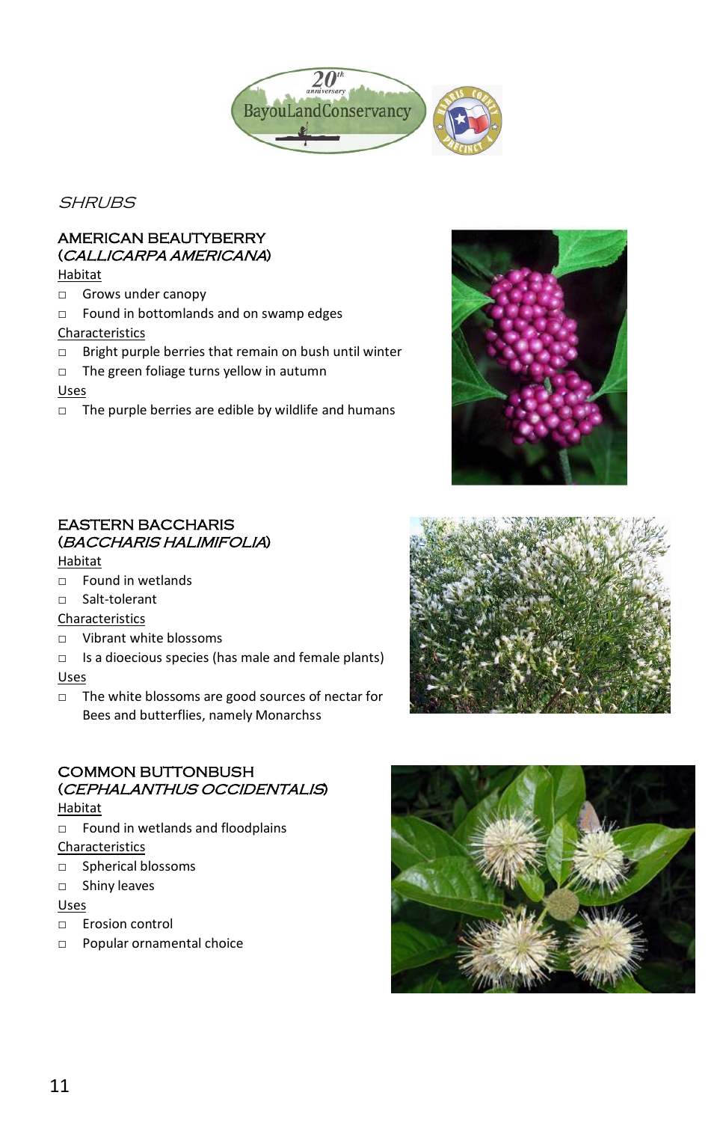

**SHRUBS** 

# AMERICAN BEAUTYBERRY (CALLICARPA AMERICANA)

Habitat

- □ Grows under canopy
- □ Found in bottomlands and on swamp edges

#### Characteristics

- □ Bright purple berries that remain on bush until winter
- □ The green foliage turns yellow in autumn

#### Uses

□ The purple berries are edible by wildlife and humans



# EASTERN BACCHARIS (BACCHARIS HALIMIFOLIA)

#### Habitat

- $\neg$  Found in wetlands
- □ Salt-tolerant

#### **Characteristics**

- □ Vibrant white blossoms
- □ Is a dioecious species (has male and female plants) Uses
- □ The white blossoms are good sources of nectar for Bees and butterflies, namely Monarchss

# COMMON BUTTONBUSH (CEPHALANTHUS OCCIDENTALIS)

#### Habitat

□ Found in wetlands and floodplains

#### Characteristics

- □ Spherical blossoms
- □ Shiny leaves

#### Uses

- □ Erosion control
- □ Popular ornamental choice



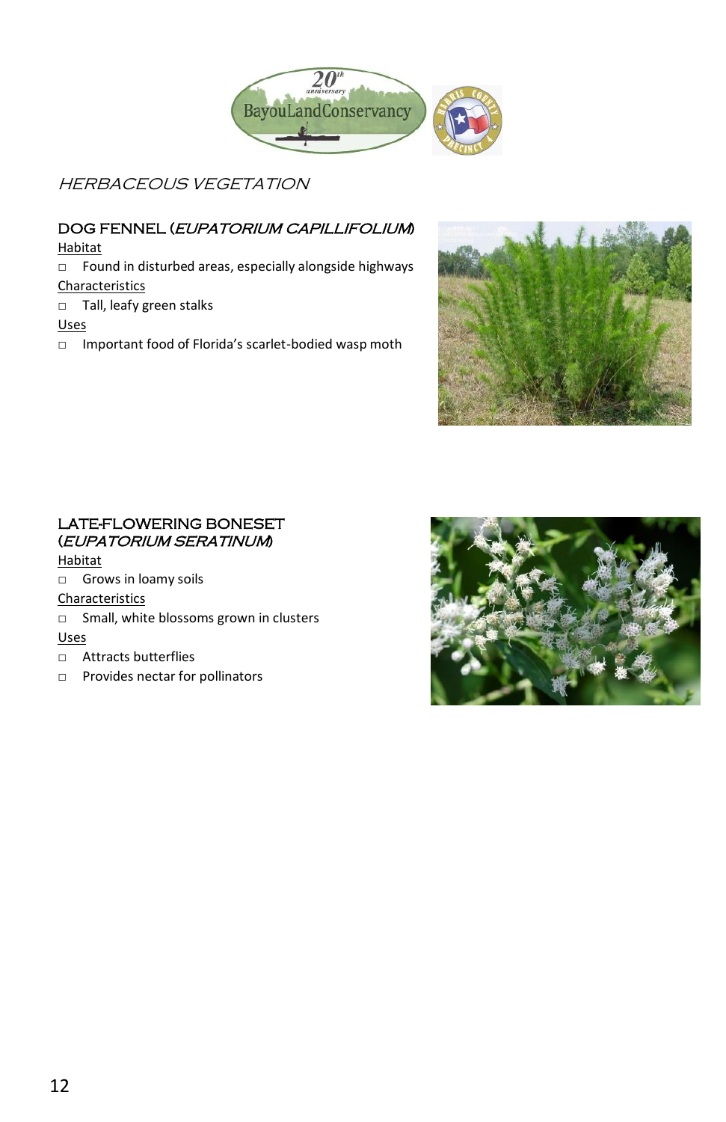

HERBACEOUS VEGETATION

# DOG FENNEL (EUPATORIUM CAPILLIFOLIUM)

Habitat

- □ Found in disturbed areas, especially alongside highways Characteristics
- □ Tall, leafy green stalks

Uses

□ Important food of Florida's scarlet-bodied wasp moth



# LATE-FLOWERING BONESET (EUPATORIUM SERATINUM)

Habitat

□ Grows in loamy soils

Characteristics

- □ Small, white blossoms grown in clusters Uses
- □ Attracts butterflies
- □ Provides nectar for pollinators